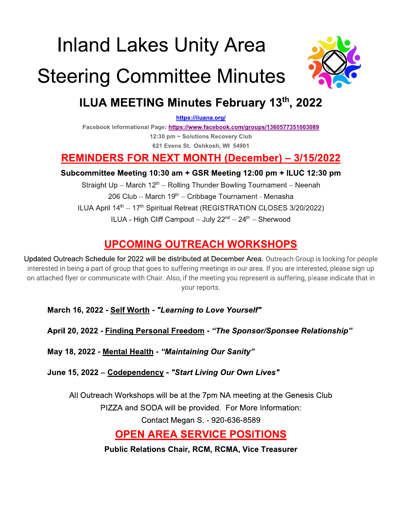# **Inland Lakes Unity Area**

# **Steering Committee Minutes**



# ILUA MEETING Minutes February 13th, 2022

https://iluana.org/

Facebook Informational Page: https://www.facebook.com/groups/1360577351003089

12:30 pm ~ Solutions Recovery Club 621 Evens St. Oshkosh, WI 54901

# **REMINDERS FOR NEXT MONTH (December) - 3/15/2022**

#### Subcommittee Meeting 10:30 am + GSR Meeting 12:00 pm + ILUC 12:30 pm

Straight Up - March 12<sup>th</sup> - Rolling Thunder Bowling Tournament - Neenah 206 Club - March 19<sup>th</sup> - Cribbage Tournament - Menasha ILUA April 14<sup>th</sup> - 17<sup>th</sup> Spiritual Retreat (REGISTRATION CLOSES 3/20/2022) ILUA - High Cliff Campout - July 22<sup>nd</sup> - 24<sup>th</sup> - Sherwood

# **UPCOMING OUTREACH WORKSHOPS**

Updated Outreach Schedule for 2022 will be distributed at December Area. Outreach Group is looking for people interested in being a part of group that goes to suffering meetings in our area. If you are interested, please sign up on attached flyer or communicate with Chair. Also, if the meeting you represent is suffering, please indicate that in your reports.

March 16, 2022 - Self Worth - "Learning to Love Yourself"

April 20, 2022 - Finding Personal Freedom - "The Sponsor/Sponsee Relationship"

May 18, 2022 - Mental Health - "Maintaining Our Sanity"

June 15, 2022 - Codependency - "Start Living Our Own Lives"

All Outreach Workshops will be at the 7pm NA meeting at the Genesis Club

PIZZA and SODA will be provided. For More Information:

Contact Megan S. - 920-636-8589

# **OPEN AREA SERVICE POSITIONS**

**Public Relations Chair, RCM, RCMA, Vice Treasurer**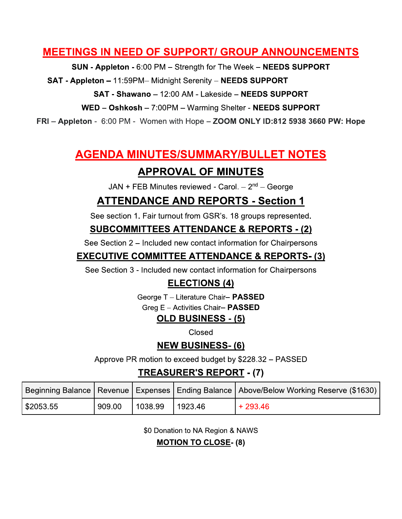### **MEETINGS IN NEED OF SUPPORT/ GROUP ANNOUNCEMENTS**

SUN - Appleton - 6:00 PM - Strength for The Week - NEEDS SUPPORT

SAT - Appleton - 11:59PM- Midnight Serenity - NEEDS SUPPORT

SAT - Shawano - 12:00 AM - Lakeside - NEEDS SUPPORT

WED - Oshkosh - 7:00PM - Warming Shelter - NEEDS SUPPORT

FRI - Appleton - 6:00 PM - Women with Hope - ZOOM ONLY ID:812 5938 3660 PW: Hope

# **AGENDA MINUTES/SUMMARY/BULLET NOTES**

## **APPROVAL OF MINUTES**

JAN + FEB Minutes reviewed - Carol.  $-2<sup>nd</sup>$  – George

## **ATTENDANCE AND REPORTS - Section 1**

See section 1. Fair turnout from GSR's. 18 groups represented.

#### **SUBCOMMITTEES ATTENDANCE & REPORTS - (2)**

See Section 2 – Included new contact information for Chairpersons

#### **EXECUTIVE COMMITTEE ATTENDANCE & REPORTS- (3)**

See Section 3 - Included new contact information for Chairpersons

### **ELECTIONS (4)**

George T - Literature Chair- PASSED

Greg E - Activities Chair- PASSED

#### **OLD BUSINESS - (5)**

Closed

#### **NEW BUSINESS-(6)**

Approve PR motion to exceed budget by \$228.32 - PASSED

### **TREASURER'S REPORT - (7)**

|          |        |         |         | Beginning Balance   Revenue   Expenses   Ending Balance   Above/Below Working Reserve (\$1630) |
|----------|--------|---------|---------|------------------------------------------------------------------------------------------------|
| S2053.55 | 909.00 | 1038.99 | 1923.46 | $+293.46$                                                                                      |

\$0 Donation to NA Region & NAWS

**MOTION TO CLOSE- (8)**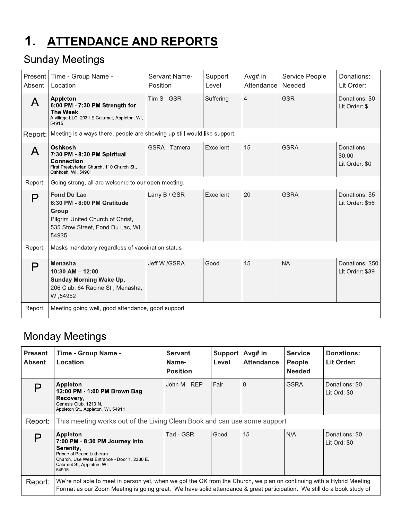#### $1.$ **ATTENDANCE AND REPORTS**

# **Sunday Meetings**

| Present  <br>Absent | Time - Group Name -<br>Location                                                                                                              | Servant Name-<br>Position | Support<br>Level | Avg# in<br>Attendance | Service People<br>Needed | Donations:<br>Lit Order:               |  |
|---------------------|----------------------------------------------------------------------------------------------------------------------------------------------|---------------------------|------------------|-----------------------|--------------------------|----------------------------------------|--|
|                     | Appleton<br>6:00 PM - 7:30 PM Strength for<br>The Week,<br>A village LLC, 2031 E Calumet, Appleton, WI,<br>54915                             | Tim S - GSR               | Suffering        | $\overline{4}$        | <b>GSR</b>               | Donations: \$0<br>Lit Order: \$        |  |
| Report:             | Meeting is always there, people are showing up still would like support.                                                                     |                           |                  |                       |                          |                                        |  |
| $\mathsf{A}$        | <b>Oshkosh</b><br>7:30 PM - 8:30 PM Spiritual<br><b>Connection</b><br>First Presbyterian Church, 110 Church St.,<br>Oshkosh, WI, 54901       | GSRA - Tamera             | Excellent        | 15                    | <b>GSRA</b>              | Donations:<br>\$0.00<br>Lit Order: \$0 |  |
| Report:             | Going strong, all are welcome to our open meeting.                                                                                           |                           |                  |                       |                          |                                        |  |
| P                   | <b>Fond Du Lac</b><br>6:30 PM - 8:00 PM Gratitude<br>Group<br>Pilgrim United Church of Christ,<br>535 Stow Street, Fond Du Lac, WI,<br>54935 | Larry B / GSR             | Excellent        | 20                    | <b>GSRA</b>              | Donations: \$5<br>Lit Order: \$56      |  |
| Report:             | Masks mandatory regardless of vaccination status.                                                                                            |                           |                  |                       |                          |                                        |  |
| P                   | <b>Menasha</b><br>$10:30$ AM $- 12:00$<br><b>Sunday Morning Wake Up,</b><br>206 Club, 64 Racine St., Menasha,<br>WI.54952                    | Jeff W /GSRA              | Good             | 15                    | <b>NA</b>                | Donations: \$50<br>Lit Order: \$39     |  |
| Report:             | Meeting going well, good attendance, good support.                                                                                           |                           |                  |                       |                          |                                        |  |

# **Monday Meetings**

| <b>Present</b><br><b>Absent</b> | Time - Group Name -<br>Location                                                                                                                                                                                                                 | <b>Servant</b><br>Name-<br><b>Position</b> | Support<br>Level | Avg# in<br><b>Attendance</b> | <b>Service</b><br>People<br><b>Needed</b> | Donations:<br>Lit Order:       |  |
|---------------------------------|-------------------------------------------------------------------------------------------------------------------------------------------------------------------------------------------------------------------------------------------------|--------------------------------------------|------------------|------------------------------|-------------------------------------------|--------------------------------|--|
| Р                               | Appleton<br>12:00 PM - 1:00 PM Brown Bag<br>Recovery.<br>Genesis Club, 1213 N.<br>Appleton St., Appleton, WI, 54911                                                                                                                             | John M - REP                               | Fair             | 8                            | <b>GSRA</b>                               | Donations: \$0<br>Lit Ord: \$0 |  |
| Report:                         | This meeting works out of the Living Clean Book and can use some support                                                                                                                                                                        |                                            |                  |                              |                                           |                                |  |
| Р                               | Appleton<br>7:00 PM - 8:30 PM Journey into<br>Serenity.<br>Prince of Peace Lutheran<br>Church, Use West Entrance - Door 1, 2330 E.<br>Calumet St, Appleton, WI,<br>54915                                                                        | Tad - GSR                                  | Good             | 15                           | N/A                                       | Donations: \$0<br>Lit Ord: \$0 |  |
| Report:                         | We're not able to meet in person yet, when we got the OK from the Church, we plan on continuing with a Hybrid Meeting<br>Format as our Zoom Meeting is going great. We have solid attendance & great participation. We still do a book study of |                                            |                  |                              |                                           |                                |  |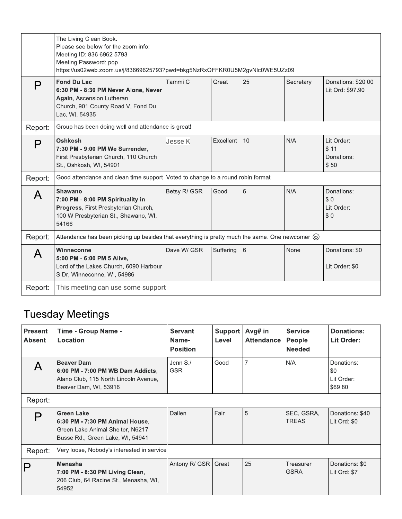|         | The Living Clean Book.<br>Please see below for the zoom info:<br>Meeting ID: 836 6962 5793<br>Meeting Password: pop<br>https://us02web.zoom.us/j/83669625793?pwd=bkg5NzRxOFFKR0U5M2gvNlc0WE5UZz09 |              |           |    |             |                                          |
|---------|---------------------------------------------------------------------------------------------------------------------------------------------------------------------------------------------------|--------------|-----------|----|-------------|------------------------------------------|
| P       | <b>Fond Du Lac</b><br>6:30 PM - 8:30 PM Never Alone, Never<br>Again, Ascension Lutheran<br>Church, 901 County Road V, Fond Du<br>Lac, WI, 54935                                                   | Tammi C      | Great     | 25 | Secretary   | Donations: \$20.00<br>Lit Ord: \$97.90   |
| Report: | Group has been doing well and attendance is great!                                                                                                                                                |              |           |    |             |                                          |
| P       | Oshkosh<br>7:30 PM - 9:00 PM We Surrender,<br>First Presbyterian Church, 110 Church<br>St., Oshkosh, WI, 54901                                                                                    | Jesse K      | Excellent | 10 | N/A         | Lit Order:<br>\$11<br>Donations:<br>\$50 |
| Report: | Good attendance and clean time support. Voted to change to a round robin format.                                                                                                                  |              |           |    |             |                                          |
| A       | <b>Shawano</b><br>7:00 PM - 8:00 PM Spirituality in<br>Progress, First Presbyterian Church,<br>100 W Presbyterian St., Shawano, WI,<br>54166                                                      | Betsy R/ GSR | Good      | 6  | N/A         | Donations:<br>\$0<br>Lit Order:<br>\$0   |
| Report: | Attendance has been picking up besides that everything is pretty much the same. One newcomer $\circledcirc$                                                                                       |              |           |    |             |                                          |
| A       | Winneconne<br>5:00 PM - 6:00 PM 5 Alive,<br>Lord of the Lakes Church, 6090 Harbour<br>S Dr, Winneconne, WI, 54986                                                                                 | Dave W/ GSR  | Suffering | 6  | <b>None</b> | Donations: \$0<br>Lit Order: \$0         |
| Report: | This meeting can use some support                                                                                                                                                                 |              |           |    |             |                                          |

# **Tuesday Meetings**

| <b>Present</b><br><b>Absent</b> | Time - Group Name -<br>Location                                                                                              | <b>Servant</b><br>Name-<br><b>Position</b> | Support<br>Level | Avg# in<br><b>Attendance</b> | <b>Service</b><br>People<br><b>Needed</b> | <b>Donations:</b><br>Lit Order:            |
|---------------------------------|------------------------------------------------------------------------------------------------------------------------------|--------------------------------------------|------------------|------------------------------|-------------------------------------------|--------------------------------------------|
|                                 | <b>Beaver Dam</b><br>6:00 PM - 7:00 PM WB Dam Addicts,<br>Alano Club, 115 North Lincoln Avenue,<br>Beaver Dam, WI, 53916     | Jenn S./<br><b>GSR</b>                     | Good             | $\overline{7}$               | N/A                                       | Donations:<br>\$0<br>Lit Order:<br>\$69.80 |
| Report:                         |                                                                                                                              |                                            |                  |                              |                                           |                                            |
| Р                               | <b>Green Lake</b><br>6:30 PM - 7:30 PM Animal House,<br>Green Lake Animal Shelter, N6217<br>Busse Rd., Green Lake, WI, 54941 | Dallen                                     | Fair             | 5                            | SEC, GSRA,<br><b>TREAS</b>                | Donations: \$40<br>Lit Ord: \$0            |
| Report:                         | Very loose, Nobody's interested in service                                                                                   |                                            |                  |                              |                                           |                                            |
|                                 | <b>Menasha</b><br>7:00 PM - 8:30 PM Living Clean,<br>206 Club, 64 Racine St., Menasha, WI,<br>54952                          | Antony R/ GSR                              | Great            | 25                           | Treasurer<br><b>GSRA</b>                  | Donations: \$0<br>Lit Ord: \$7             |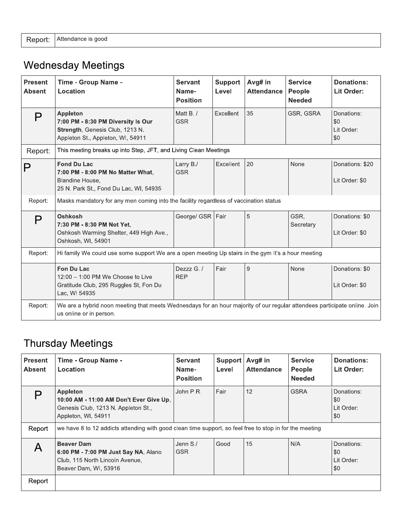|  | Report: Attendance is good |  |  |  |
|--|----------------------------|--|--|--|
|--|----------------------------|--|--|--|

# **Wednesday Meetings**

| <b>Present</b><br><b>Absent</b> | Time - Group Name -<br>Location                                                                                                                      | <b>Servant</b><br>Name-<br><b>Position</b> | <b>Support</b><br>Level | Avg# in<br><b>Attendance</b> | <b>Service</b><br>People<br><b>Needed</b> | <b>Donations:</b><br>Lit Order:        |
|---------------------------------|------------------------------------------------------------------------------------------------------------------------------------------------------|--------------------------------------------|-------------------------|------------------------------|-------------------------------------------|----------------------------------------|
| P                               | Appleton<br>7:00 PM - 8:30 PM Diversity Is Our<br>Strength, Genesis Club, 1213 N.<br>Appleton St., Appleton, WI, 54911                               | Matt B./<br><b>GSR</b>                     | Excellent               | 35                           | GSR, GSRA                                 | Donations:<br>\$0<br>Lit Order:<br>\$0 |
| Report:                         | This meeting breaks up into Step, JFT, and Living Clean Meetings                                                                                     |                                            |                         |                              |                                           |                                        |
|                                 | <b>Fond Du Lac</b><br>7:00 PM - 8:00 PM No Matter What.<br>Blandine House,<br>25 N. Park St., Fond Du Lac, WI, 54935                                 | Larry B./<br><b>GSR</b>                    | Excellent               | 20                           | None                                      | Donations: \$20<br>Lit Order: \$0      |
| Report:                         | Masks mandatory for any men coming into the facility regardless of vaccination status                                                                |                                            |                         |                              |                                           |                                        |
| P                               | <b>Oshkosh</b><br>7:30 PM - 8:30 PM Not Yet,<br>Oshkosh Warming Shelter, 449 High Ave.,<br>Oshkosh, WI, 54901                                        | George/ GSR                                | Fair                    | 5                            | GSR.<br>Secretary                         | Donations: \$0<br>Lit Order: \$0       |
| Report:                         | Hi family We could use some support We are a open meeting Up stairs in the gym It's a hour meeting                                                   |                                            |                         |                              |                                           |                                        |
|                                 | Fon Du Lac<br>$12:00 - 1:00$ PM We Choose to Live<br>Gratitude Club, 295 Ruggles St, Fon Du<br>Lac, WI 54935                                         | Dezzz G./<br><b>REP</b>                    | Fair                    | $9\,$                        | None                                      | Donations: \$0<br>Lit Order: \$0       |
| Report:                         | We are a hybrid noon meeting that meets Wednesdays for an hour majority of our regular attendees participate online. Join<br>us online or in person. |                                            |                         |                              |                                           |                                        |

# **Thursday Meetings**

| Present<br><b>Absent</b> | <b>Time - Group Name -</b><br>Location                                                                                   | <b>Servant</b><br>Name-<br><b>Position</b> | <b>Support</b><br>Level | Avg# in<br><b>Attendance</b> | <b>Service</b><br><b>People</b><br><b>Needed</b> | <b>Donations:</b><br>Lit Order:        |
|--------------------------|--------------------------------------------------------------------------------------------------------------------------|--------------------------------------------|-------------------------|------------------------------|--------------------------------------------------|----------------------------------------|
|                          | <b>Appleton</b><br>10:00 AM - 11:00 AM Don't Ever Give Up,<br>Genesis Club, 1213 N. Appleton St.,<br>Appleton, WI, 54911 | John P.R.                                  | Fair                    | 12                           | <b>GSRA</b>                                      | Donations:<br>\$0<br>Lit Order:<br>\$0 |
| Report                   | we have 8 to 12 addicts attending with good clean time support, so feel free to stop in for the meeting                  |                                            |                         |                              |                                                  |                                        |
|                          | <b>Beaver Dam</b><br>6:00 PM - 7:00 PM Just Say NA, Alano<br>Club, 115 North Lincoln Avenue,<br>Beaver Dam, WI, 53916    | Jenn S./<br><b>GSR</b>                     | Good                    | 15                           | N/A                                              | Donations:<br>\$0<br>Lit Order:<br>\$0 |
| Report                   |                                                                                                                          |                                            |                         |                              |                                                  |                                        |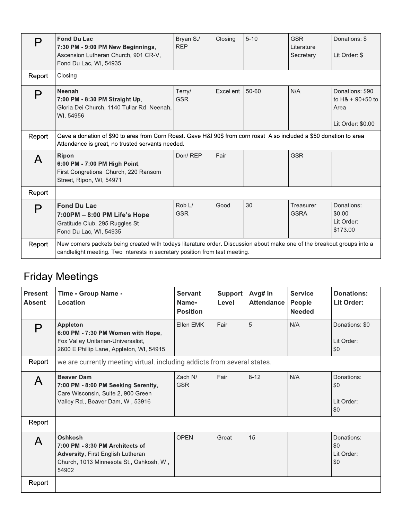| P      | <b>Fond Du Lac</b><br>7:30 PM - 9:00 PM New Beginnings,<br>Ascension Lutheran Church, 901 CR-V,<br>Fond Du Lac, WI, 54935                                                                             | Bryan S./<br><b>REP</b>          | Closing   | $5 - 10$ | <b>GSR</b><br>Literature<br>Secretary | Donations: \$<br>Lit Order: \$                                   |
|--------|-------------------------------------------------------------------------------------------------------------------------------------------------------------------------------------------------------|----------------------------------|-----------|----------|---------------------------------------|------------------------------------------------------------------|
| Report | Closing                                                                                                                                                                                               |                                  |           |          |                                       |                                                                  |
| P      | <b>Neenah</b><br>7:00 PM - 8:30 PM Straight Up,<br>Gloria Dei Church, 1140 Tullar Rd. Neenah.<br>WI, 54956                                                                                            | Terry/<br><b>GSR</b>             | Excellent | 50-60    | N/A                                   | Donations: \$90<br>to H&I+ 90+50 to<br>Area<br>Lit Order: \$0.00 |
| Report | Gave a donation of \$90 to area from Corn Roast. Gave H&I 90\$ from corn roast. Also included a \$50 donation to area.<br>Attendance is great, no trusted servants needed.                            |                                  |           |          |                                       |                                                                  |
| A      | <b>Ripon</b><br>6:00 PM - 7:00 PM High Point,<br>First Congretional Church, 220 Ransom<br>Street, Ripon, WI, 54971                                                                                    | Don/REP                          | Fair      |          | <b>GSR</b>                            |                                                                  |
| Report |                                                                                                                                                                                                       |                                  |           |          |                                       |                                                                  |
| P      | <b>Fond Du Lac</b><br>$7:00PM - 8:00 PM$ Life's Hope<br>Gratitude Club, 295 Ruggles St<br>Fond Du Lac, WI, 54935                                                                                      | Rob <sub>L</sub> /<br><b>GSR</b> | Good      | 30       | Treasurer<br><b>GSRA</b>              | Donations:<br>\$0.00<br>Lit Order:<br>\$173.00                   |
| Report | New comers packets being created with todays literature order. Discussion about make one of the breakout groups into a<br>candlelight meeting. Two Interests in secretary position from last meeting. |                                  |           |          |                                       |                                                                  |

# **Friday Meetings**

| <b>Present</b><br><b>Absent</b> | Time - Group Name -<br>Location                                                                                                             | <b>Servant</b><br>Name-<br><b>Position</b> | <b>Support</b><br>Level | Avg# in<br><b>Attendance</b> | <b>Service</b><br>People<br><b>Needed</b> | Donations:<br>Lit Order:                     |
|---------------------------------|---------------------------------------------------------------------------------------------------------------------------------------------|--------------------------------------------|-------------------------|------------------------------|-------------------------------------------|----------------------------------------------|
| D                               | <b>Appleton</b><br>6:00 PM - 7:30 PM Women with Hope,<br>Fox Valley Unitarian-Universalist,<br>2600 E Phillip Lane, Appleton, WI, 54915     | Ellen EMK                                  | Fair                    | 5                            | N/A                                       | Donations: \$0<br>Lit Order:<br>\$0          |
| Report                          | we are currently meeting virtual. including addicts from several states.                                                                    |                                            |                         |                              |                                           |                                              |
| $\mathsf{A}$                    | <b>Beaver Dam</b><br>7:00 PM - 8:00 PM Seeking Serenity,<br>Care Wisconsin, Suite 2, 900 Green<br>Valley Rd., Beaver Dam, WI, 53916         | Zach N/<br><b>GSR</b>                      | Fair                    | $8 - 12$                     | N/A                                       | Donations:<br>\$0<br>Lit Order:<br>\$0       |
| Report                          |                                                                                                                                             |                                            |                         |                              |                                           |                                              |
|                                 | Oshkosh<br>7:00 PM - 8:30 PM Architects of<br><b>Adversity, First English Lutheran</b><br>Church, 1013 Minnesota St., Oshkosh, WI,<br>54902 | <b>OPEN</b>                                | Great                   | 15                           |                                           | Donations:<br>\$0<br>Lit Order:<br><b>SO</b> |
| Report                          |                                                                                                                                             |                                            |                         |                              |                                           |                                              |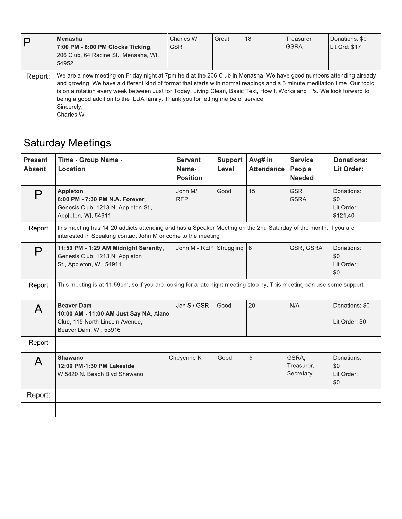| D       | Menasha<br>7:00 PM - 8:00 PM Clocks Ticking,<br>206 Club, 64 Racine St., Menasha, WI,<br>54952                                                                                                                                                                                                                                                                                                                                                                                              | Charles W<br><b>GSR</b> | Great | 18 | Treasurer<br><b>GSRA</b> | Donations: \$0<br>Lit Ord: \$17 |
|---------|---------------------------------------------------------------------------------------------------------------------------------------------------------------------------------------------------------------------------------------------------------------------------------------------------------------------------------------------------------------------------------------------------------------------------------------------------------------------------------------------|-------------------------|-------|----|--------------------------|---------------------------------|
| Report: | We are a new meeting on Friday night at 7pm held at the 206 Club in Menasha. We have good numbers attending already<br>and growing. We have a different kind of format that starts with normal readings and a 3 minute meditation time. Our topic<br>is on a rotation every week between Just for Today, Living Clean, Basic Text, How It Works and IPs. We look forward to<br>being a good addition to the ILUA family. Thank you for letting me be of service.<br>Sincerely,<br>Charles W |                         |       |    |                          |                                 |

# **Saturday Meetings**

| <b>Present</b><br><b>Absent</b> | <b>Time - Group Name -</b><br>Location                                                                                                                                          | <b>Servant</b><br>Name-<br><b>Position</b> | <b>Support</b><br>Level | Avg# in<br><b>Attendance</b> | <b>Service</b><br>People<br><b>Needed</b> | <b>Donations:</b><br>Lit Order:             |
|---------------------------------|---------------------------------------------------------------------------------------------------------------------------------------------------------------------------------|--------------------------------------------|-------------------------|------------------------------|-------------------------------------------|---------------------------------------------|
| P                               | <b>Appleton</b><br>6:00 PM - 7:30 PM N.A. Forever,<br>Genesis Club, 1213 N. Appleton St.,<br>Appleton, WI, 54911                                                                | John M/<br><b>REP</b>                      | Good                    | 15                           | <b>GSR</b><br><b>GSRA</b>                 | Donations:<br>\$0<br>Lit Order:<br>\$121.40 |
| Report                          | this meeting has 14-20 addicts attending and has a Speaker Meeting on the 2nd Saturday of the month. If you are<br>interested in Speaking contact John M or come to the meeting |                                            |                         |                              |                                           |                                             |
| P                               | 11:59 PM - 1:29 AM Midnight Serenity,<br>Genesis Club, 1213 N. Appleton<br>St., Appleton, WI, 54911                                                                             | John M - REP                               | Struggling 6            |                              | GSR, GSRA                                 | Donations:<br>\$0<br>Lit Order:<br>\$0      |
| Report                          | This meeting is at 11:59pm, so if you are looking for a late night meeting stop by. This meeting can use some support                                                           |                                            |                         |                              |                                           |                                             |
| A                               | <b>Beaver Dam</b><br>10:00 AM - 11:00 AM Just Say NA, Alano<br>Club, 115 North Lincoln Avenue,<br>Beaver Dam, WI, 53916                                                         | Jen S./ GSR                                | Good                    | 20                           | N/A                                       | Donations: \$0<br>Lit Order: \$0            |
| Report                          |                                                                                                                                                                                 |                                            |                         |                              |                                           |                                             |
| A                               | Shawano<br>12:00 PM-1:30 PM Lakeside<br>W 5820 N. Beach Blvd Shawano                                                                                                            | Cheyenne K                                 | Good                    | 5                            | GSRA,<br>Treasurer,<br>Secretary          | Donations:<br>\$0<br>Lit Order:<br>\$0      |
| Report:                         |                                                                                                                                                                                 |                                            |                         |                              |                                           |                                             |
|                                 |                                                                                                                                                                                 |                                            |                         |                              |                                           |                                             |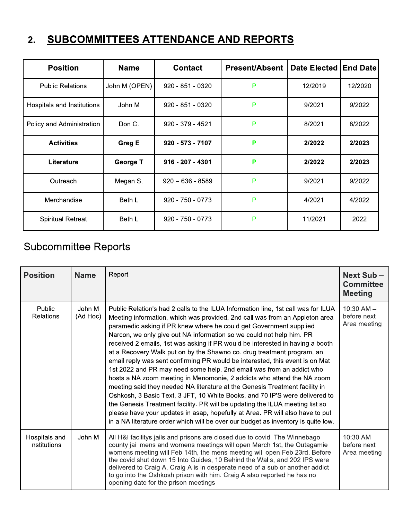#### SUBCOMMITTEES ATTENDANCE AND REPORTS  $2.$

| <b>Position</b>            | <b>Name</b>     | <b>Contact</b>     | <b>Present/Absent</b> | Date Elected | <b>End Date</b> |
|----------------------------|-----------------|--------------------|-----------------------|--------------|-----------------|
| <b>Public Relations</b>    | John M (OPEN)   | 920 - 851 - 0320   | P                     | 12/2019      | 12/2020         |
| Hospitals and Institutions | John M          | $920 - 851 - 0320$ | P                     | 9/2021       | 9/2022          |
| Policy and Administration  | Don C.          | 920 - 379 - 4521   | P                     | 8/2021       | 8/2022          |
| <b>Activities</b>          | Greg E          | 920 - 573 - 7107   | P                     | 2/2022       | 2/2023          |
| Literature                 | <b>George T</b> | 916 - 207 - 4301   | P                     | 2/2022       | 2/2023          |
| Outreach                   | Megan S.        | $920 - 636 - 8589$ | P                     | 9/2021       | 9/2022          |
| Merchandise                | Beth L          | $920 - 750 - 0773$ | P                     | 4/2021       | 4/2022          |
| <b>Spiritual Retreat</b>   | Beth L          | $920 - 750 - 0773$ | P                     | 11/2021      | 2022            |

# **Subcommittee Reports**

| <b>Position</b>               | <b>Name</b>        | Report                                                                                                                                                                                                                                                                                                                                                                                                                                                                                                                                                                                                                                                                                                                                                                                                                                                                                                                                                                                                                                                                                                                          | <b>Next Sub-</b><br><b>Committee</b><br><b>Meeting</b> |
|-------------------------------|--------------------|---------------------------------------------------------------------------------------------------------------------------------------------------------------------------------------------------------------------------------------------------------------------------------------------------------------------------------------------------------------------------------------------------------------------------------------------------------------------------------------------------------------------------------------------------------------------------------------------------------------------------------------------------------------------------------------------------------------------------------------------------------------------------------------------------------------------------------------------------------------------------------------------------------------------------------------------------------------------------------------------------------------------------------------------------------------------------------------------------------------------------------|--------------------------------------------------------|
| Public<br><b>Relations</b>    | John M<br>(Ad Hoc) | Public Relation's had 2 calls to the ILUA Information line, 1st call was for ILUA<br>Meeting information, which was provided, 2nd call was from an Appleton area<br>paramedic asking if PR knew where he could get Government supplied<br>Narcon, we only give out NA information so we could not help him. PR<br>received 2 emails, 1st was asking if PR would be interested in having a booth<br>at a Recovery Walk put on by the Shawno co. drug treatment program, an<br>email reply was sent confirming PR would be interested, this event is on Mat<br>1st 2022 and PR may need some help. 2nd email was from an addict who<br>hosts a NA zoom meeting in Menomonie, 2 addicts who attend the NA zoom<br>meeting said they needed NA literature at the Genesis Treatment facility in<br>Oshkosh, 3 Basic Text, 3 JFT, 10 White Books, and 70 IP'S were delivered to<br>the Genesis Treatment facility. PR will be updating the ILUA meeting list so<br>please have your updates in asap, hopefully at Area. PR will also have to put<br>in a NA literature order which will be over our budget as inventory is quite low. | $10:30$ AM $-$<br>before next<br>Area meeting          |
| Hospitals and<br>Institutions | John M             | All H&I facilitys jails and prisons are closed due to covid. The Winnebago<br>county jail mens and womens meetings will open March 1st, the Outagamie<br>womens meeting will Feb 14th, the mens meeting will open Feb 23rd. Before<br>the covid shut down 15 Into Guides, 10 Behind the Walls, and 202 IPS were<br>delivered to Craig A, Craig A is in desperate need of a sub or another addict<br>to go into the Oshkosh prison with him. Craig A also reported he has no<br>opening date for the prison meetings                                                                                                                                                                                                                                                                                                                                                                                                                                                                                                                                                                                                             | $10:30$ AM $-$<br>before next<br>Area meeting          |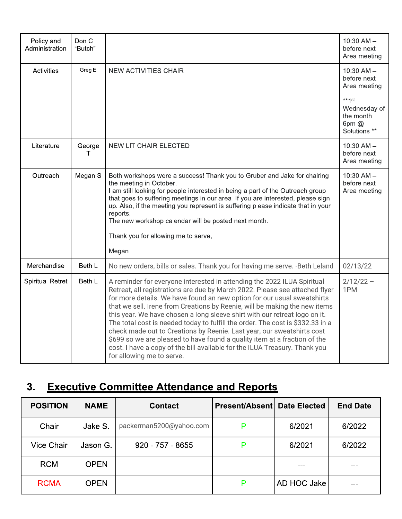| Policy and<br>Administration | Don C<br>"Butch" |                                                                                                                                                                                                                                                                                                                                                                                                                                                                                                                                                                                                                                                                                                                                                   | $10:30$ AM $-$<br>before next<br>Area meeting                            |
|------------------------------|------------------|---------------------------------------------------------------------------------------------------------------------------------------------------------------------------------------------------------------------------------------------------------------------------------------------------------------------------------------------------------------------------------------------------------------------------------------------------------------------------------------------------------------------------------------------------------------------------------------------------------------------------------------------------------------------------------------------------------------------------------------------------|--------------------------------------------------------------------------|
| <b>Activities</b>            | Greg E           | <b>NEW ACTIVITIES CHAIR</b>                                                                                                                                                                                                                                                                                                                                                                                                                                                                                                                                                                                                                                                                                                                       | $10:30$ AM $-$<br>before next<br>Area meeting                            |
|                              |                  |                                                                                                                                                                                                                                                                                                                                                                                                                                                                                                                                                                                                                                                                                                                                                   | $** \uparrow st$<br>Wednesday of<br>the month<br>6pm $@$<br>Solutions ** |
| Literature                   | George<br>Т      | <b>NEW LIT CHAIR ELECTED</b>                                                                                                                                                                                                                                                                                                                                                                                                                                                                                                                                                                                                                                                                                                                      | $10:30$ AM $-$<br>before next<br>Area meeting                            |
| Outreach                     | Megan S          | Both workshops were a success! Thank you to Gruber and Jake for chairing<br>the meeting in October.<br>I am still looking for people interested in being a part of the Outreach group<br>that goes to suffering meetings in our area. If you are interested, please sign<br>up. Also, if the meeting you represent is suffering please indicate that in your<br>reports.<br>The new workshop calendar will be posted next month.<br>Thank you for allowing me to serve,<br>Megan                                                                                                                                                                                                                                                                  | $10:30$ AM $-$<br>before next<br>Area meeting                            |
| Merchandise                  | Beth L           | No new orders, bills or sales. Thank you for having me serve. - Beth Leland                                                                                                                                                                                                                                                                                                                                                                                                                                                                                                                                                                                                                                                                       | 02/13/22                                                                 |
| <b>Spiritual Retret</b>      | Beth L           | A reminder for everyone interested in attending the 2022 ILUA Spiritual<br>Retreat, all registrations are due by March 2022. Please see attached flyer<br>for more details. We have found an new option for our usual sweatshirts<br>that we sell. Irene from Creations by Reenie, will be making the new items<br>this year. We have chosen a long sleeve shirt with our retreat logo on it.<br>The total cost is needed today to fulfill the order. The cost is \$332.33 in a<br>check made out to Creations by Reenie. Last year, our sweatshirts cost<br>\$699 so we are pleased to have found a quality item at a fraction of the<br>cost. I have a copy of the bill available for the ILUA Treasury. Thank you<br>for allowing me to serve. | $2/12/22 -$<br>1PM                                                       |

# 3. Executive Committee Attendance and Reports

| <b>POSITION</b> | <b>NAME</b> | <b>Contact</b>          | <b>Present/Absent   Date Elected</b> |             | <b>End Date</b> |
|-----------------|-------------|-------------------------|--------------------------------------|-------------|-----------------|
| Chair           | Jake S.     | packerman5200@yahoo.com |                                      | 6/2021      | 6/2022          |
| Vice Chair      | Jason G.    | $920 - 757 - 8655$      |                                      | 6/2021      | 6/2022          |
| <b>RCM</b>      | <b>OPEN</b> |                         |                                      |             |                 |
| <b>RCMA</b>     | <b>OPEN</b> |                         |                                      | AD HOC Jake |                 |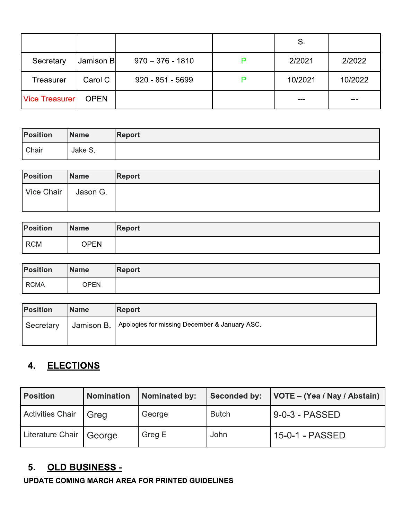|                       |             |                    | S.      |         |
|-----------------------|-------------|--------------------|---------|---------|
| Secretary             | Jamison B   | $970 - 376 - 1810$ | 2/2021  | 2/2022  |
| Treasurer             | Carol C     | $920 - 851 - 5699$ | 10/2021 | 10/2022 |
| <b>Vice Treasurer</b> | <b>OPEN</b> |                    | ---     |         |

| <b>Position</b> | <b>Name</b> | <b>Report</b> |
|-----------------|-------------|---------------|
| Chair           | Jake S.     |               |

| <b>Position</b> | <b>Name</b> | <b>Report</b> |
|-----------------|-------------|---------------|
| Vice Chair      | Jason G.    |               |
|                 |             |               |

| <b>Position</b> | <b>Name</b> | Report |
|-----------------|-------------|--------|
| <b>RCM</b>      | OPEN        |        |

| <b>Position</b> | <b>Name</b> | <b>Report</b> |
|-----------------|-------------|---------------|
| <b>RCMA</b>     | OPEN        |               |

| <b>Position</b> | <b>Name</b> | <b>Report</b>                                                |
|-----------------|-------------|--------------------------------------------------------------|
| Secretary       |             | ' Jamison B.   Apologies for missing December & January ASC. |
|                 |             |                                                              |

# 4. ELECTIONS

| <b>Position</b>         | <b>Nomination</b> | <b>Nominated by:</b> | <b>Seconded by:</b> | VOTE – (Yea / Nay / Abstain) |
|-------------------------|-------------------|----------------------|---------------------|------------------------------|
| <b>Activities Chair</b> | Greg              | George               | <b>Butch</b>        | 9-0-3 - PASSED               |
| Literature Chair        | George            | Greg E               | John                | 15-0-1 - PASSED              |

### 5. OLD BUSINESS -

**UPDATE COMING MARCH AREA FOR PRINTED GUIDELINES**